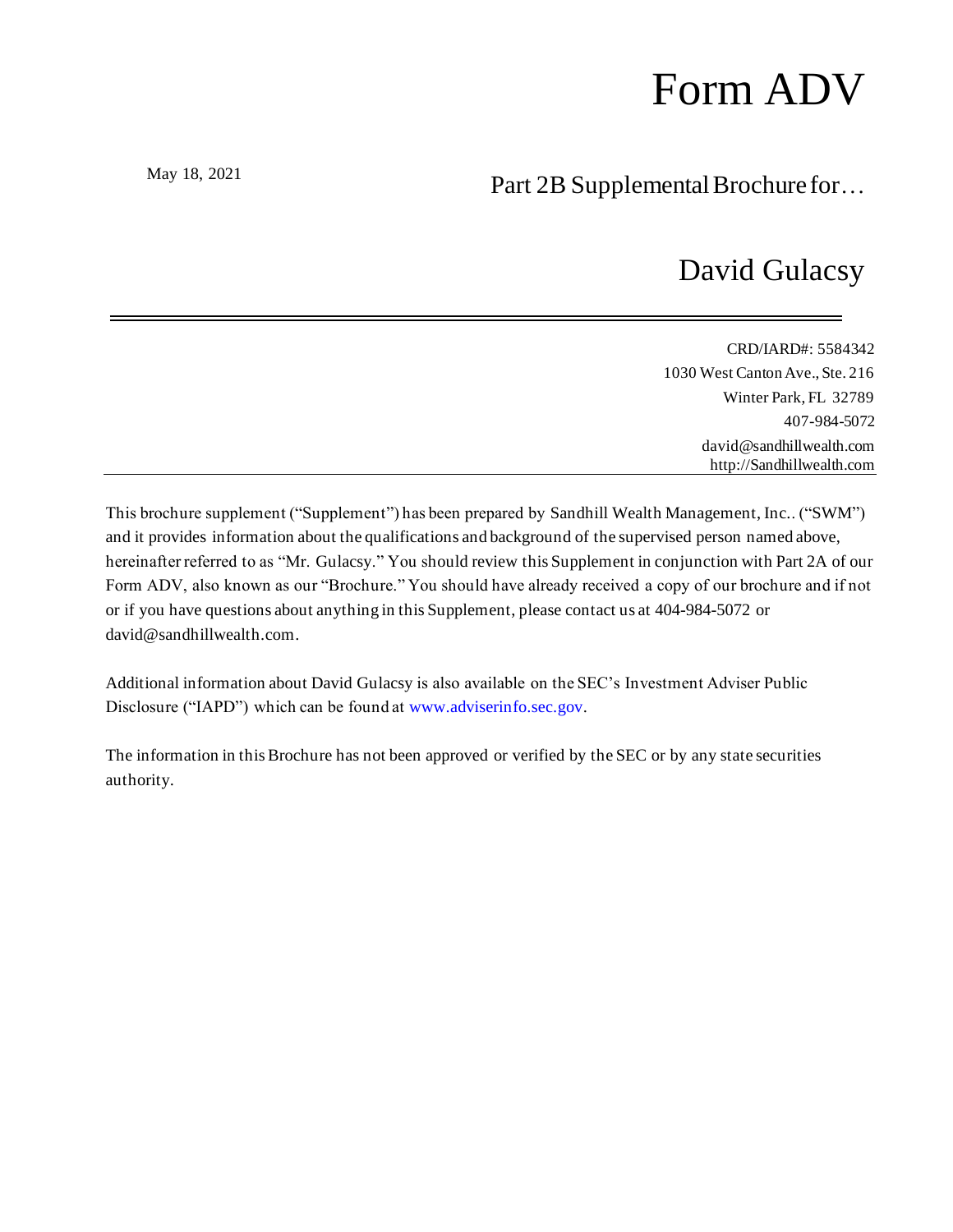# Form ADV

May 18, 2021

# Part 2B Supplemental Brochure for…

# David Gulacsy

| CRD/IARD#: 5584342              |
|---------------------------------|
| 1030 West Canton Ave., Ste. 216 |
| Winter Park, FL 32789           |
| 407-984-5072                    |
| david@sandhillwealth.com        |
| http://Sandhillwealth.com       |

This brochure supplement ("Supplement") has been prepared by Sandhill Wealth Management, Inc.. ("SWM") and it provides information about the qualifications and background of the supervised person named above, hereinafter referred to as "Mr. Gulacsy." You should review this Supplement in conjunction with Part 2A of our Form ADV, also known as our "Brochure." You should have already received a copy of our brochure and if not or if you have questions about anything in this Supplement, please contact us at 404-984-5072 or david@sandhillwealth.com.

Additional information about David Gulacsy is also available on the SEC's Investment Adviser Public Disclosure ("IAPD") which can be found at www.adviserinfo.sec.gov.

The information in this Brochure has not been approved or verified by the SEC or by any state securities authority.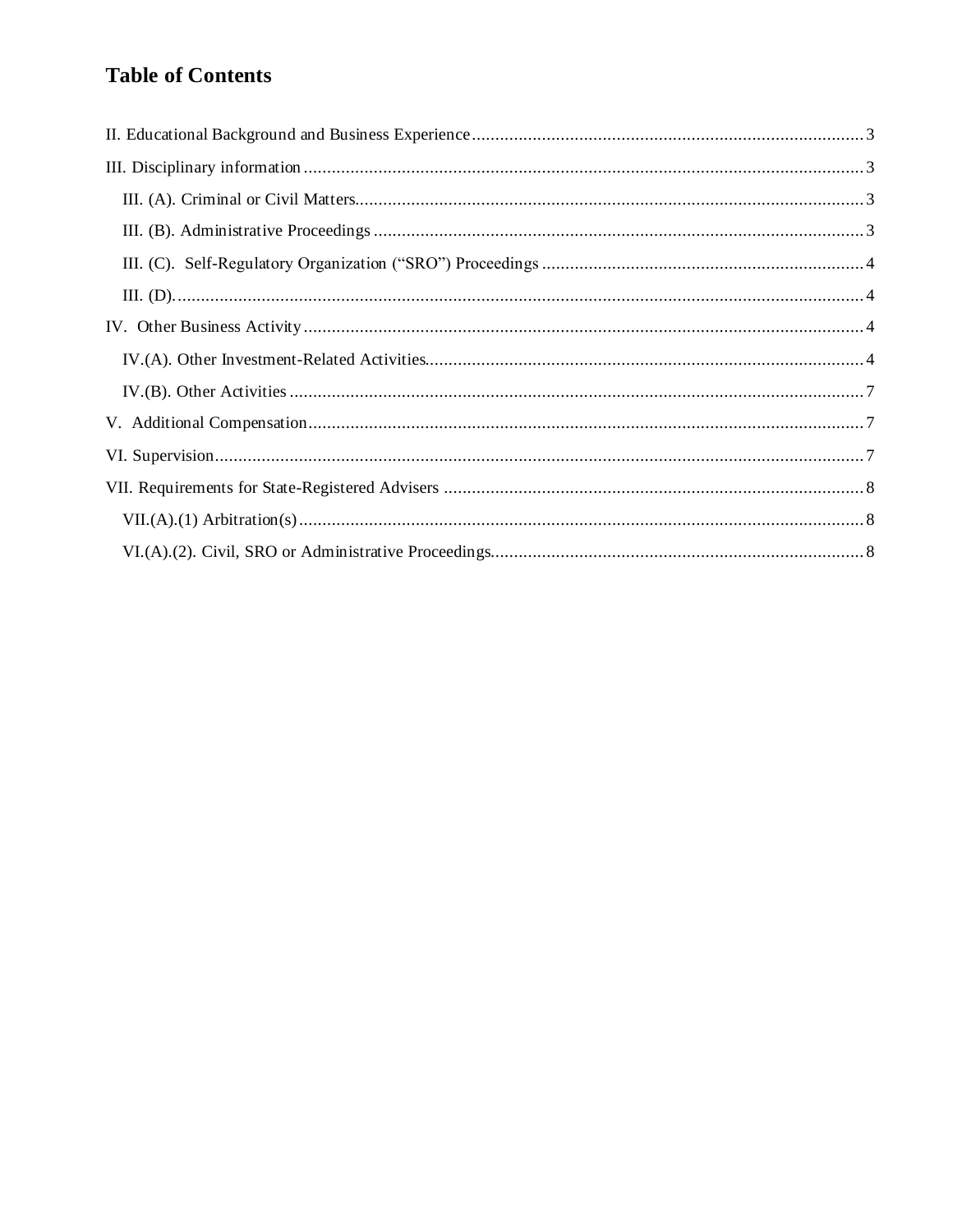# **Table of Contents**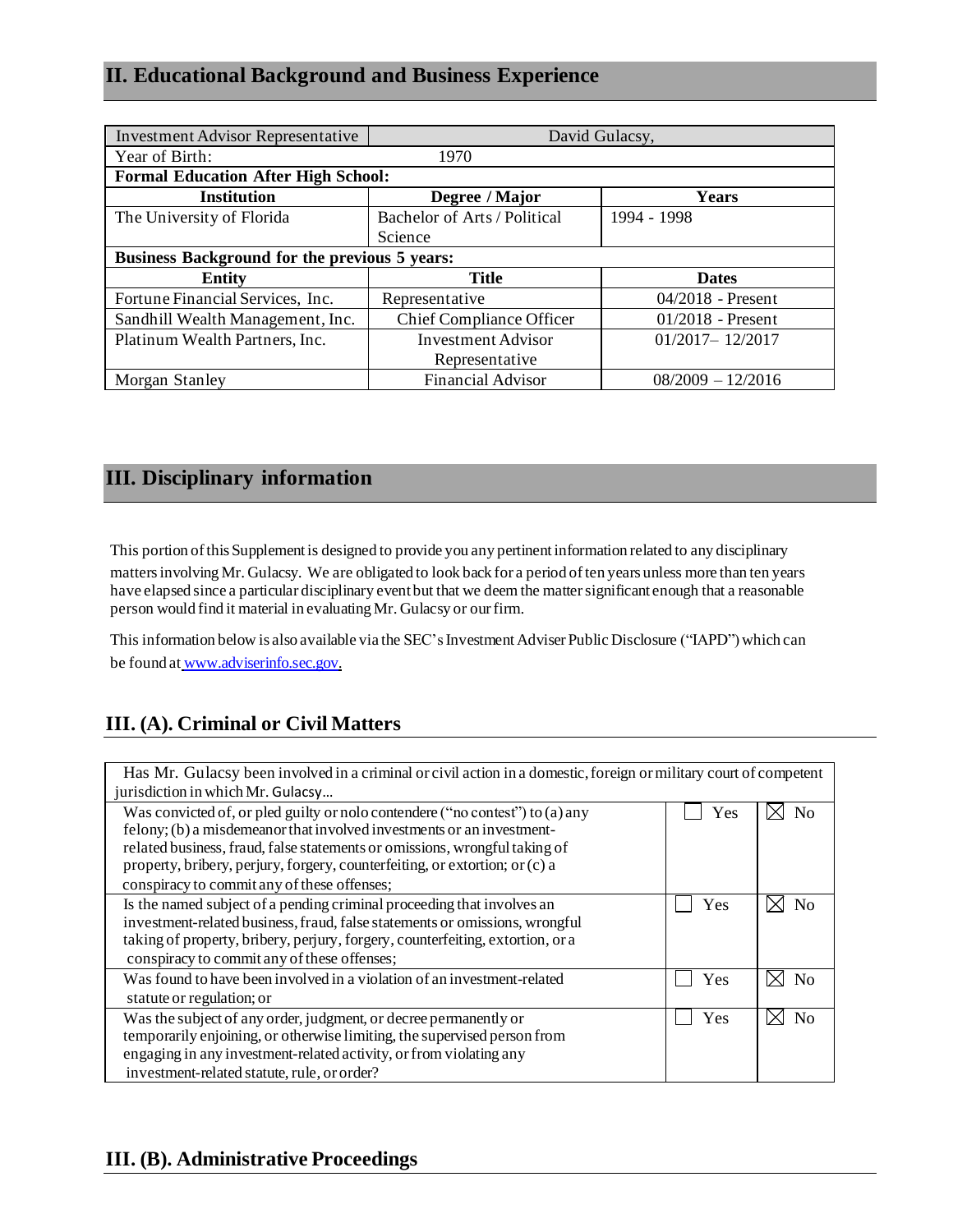# <span id="page-2-0"></span>**II. Educational Background and Business Experience**

| <b>Investment Advisor Representative</b>             | David Gulacsy,                  |                     |  |
|------------------------------------------------------|---------------------------------|---------------------|--|
| Year of Birth:                                       | 1970                            |                     |  |
| <b>Formal Education After High School:</b>           |                                 |                     |  |
| <b>Institution</b>                                   | Degree / Major                  | Years               |  |
| The University of Florida                            | Bachelor of Arts / Political    | 1994 - 1998         |  |
|                                                      | Science                         |                     |  |
| <b>Business Background for the previous 5 years:</b> |                                 |                     |  |
| Entity                                               | <b>Title</b>                    | <b>Dates</b>        |  |
| Fortune Financial Services, Inc.                     | Representative                  | $04/2018$ - Present |  |
| Sandhill Wealth Management, Inc.                     | <b>Chief Compliance Officer</b> | $01/2018$ - Present |  |
| Platinum Wealth Partners, Inc.                       | <b>Investment Advisor</b>       | $01/2017 - 12/2017$ |  |
|                                                      | Representative                  |                     |  |
| Morgan Stanley                                       | <b>Financial Advisor</b>        | $08/2009 - 12/2016$ |  |

# <span id="page-2-1"></span>**III. Disciplinary information**

This portion ofthis Supplement is designed to provide you any pertinent information related to any disciplinary

matters involving Mr. Gulacsy. We are obligated to look back for a period of ten years unless more than ten years have elapsed since a particular disciplinary event but that we deem the mattersignificant enough that a reasonable person would find it material in evaluating Mr. Gulacsy or ourfirm.

This information below is also available via the SEC's Investment Adviser Public Disclosure ("IAPD") which can be found at [www.adviserinfo.sec.gov.](http://www.adviserinfo.sec.gov/)

# <span id="page-2-2"></span>**III. (A). Criminal or Civil Matters**

Has Mr. Gulacsy been involved in a criminal or civil action in a domestic, foreign or military court of competent jurisdiction in which Mr. Gulacsy… Was convicted of, or pled guilty or nolo contendere ("no contest") to (a) any felony; (b) a misdemeanor that involved investments or an investmentrelated business, fraud, false statements or omissions, wrongful taking of property, bribery, perjury, forgery, counterfeiting, or extortion; or(c) a conspiracy to commit any of these offenses;  $\Box$  Yes  $\Box$  No Is the named subject of a pending criminal proceeding that involves an investment-related business, fraud, false statements or omissions, wrongful taking of property, bribery, perjury, forgery, counterfeiting, extortion, or a conspiracy to commit any of these offenses;  $\Box$  Yes  $\Box$  No Was found to have been involved in a violation of an investment-related statute or regulation; or Yes  $\boxtimes$  No Was the subject of any order, judgment, or decree permanently or temporarily enjoining, or otherwise limiting, the supervised person from engaging in any investment-related activity, or from violating any investment-related statute, rule, or order?  $\Box$  Yes  $\Box$  No

# <span id="page-2-3"></span>**III. (B). Administrative Proceedings**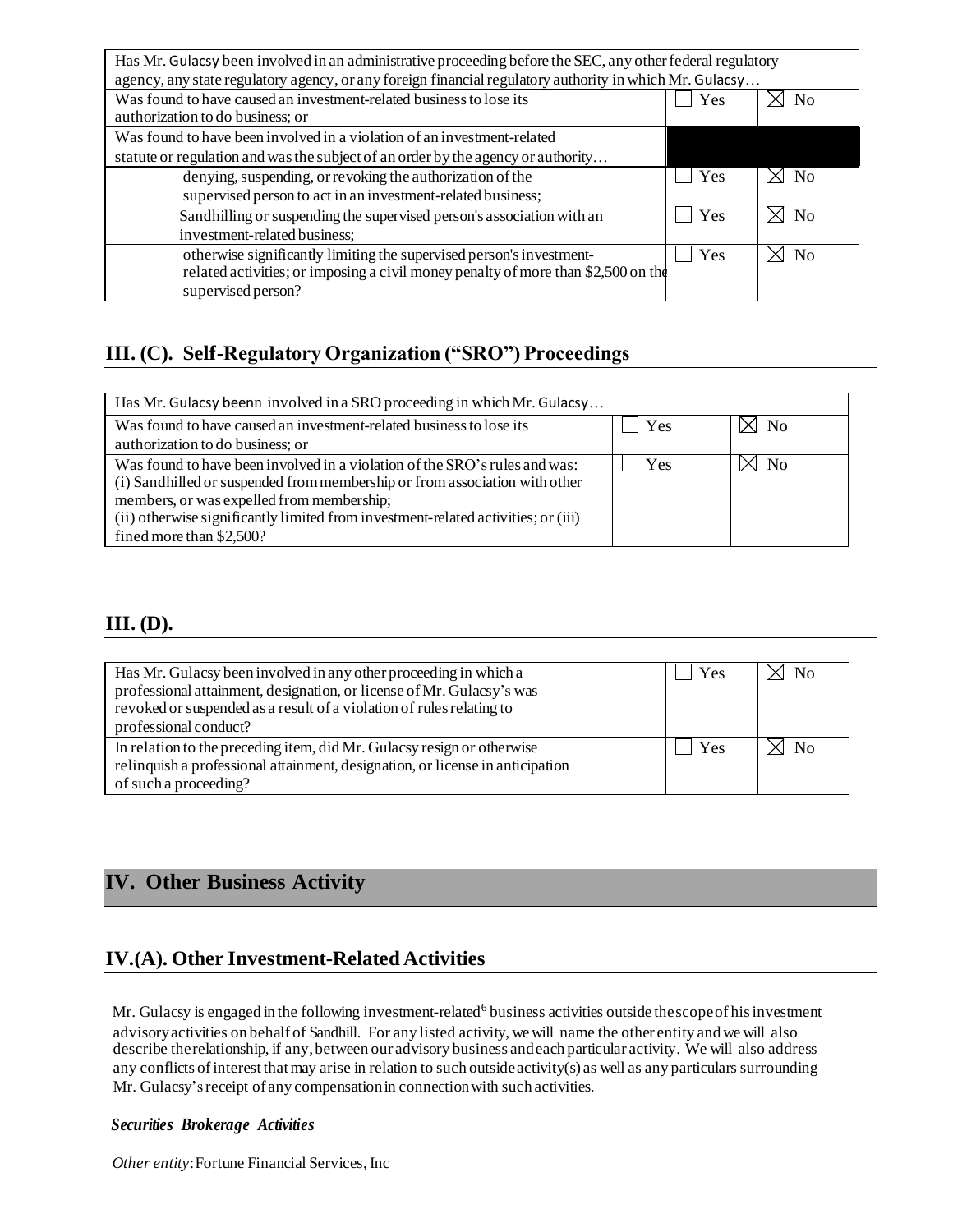| Has Mr. Gulacsy been involved in an administrative proceeding before the SEC, any other federal regulatory<br>agency, any state regulatory agency, or any foreign financial regulatory authority in which Mr. Gulacsy |     |                  |
|-----------------------------------------------------------------------------------------------------------------------------------------------------------------------------------------------------------------------|-----|------------------|
| Was found to have caused an investment-related business to lose its<br>authorization to do business; or                                                                                                               | Yes | N <sub>0</sub>   |
| Was found to have been involved in a violation of an investment-related                                                                                                                                               |     |                  |
| statute or regulation and was the subject of an order by the agency or authority                                                                                                                                      |     |                  |
| denying, suspending, or revoking the authorization of the                                                                                                                                                             | Yes | N <sub>0</sub>   |
| supervised person to act in an investment-related business;                                                                                                                                                           |     |                  |
| Sandhilling or suspending the supervised person's association with an                                                                                                                                                 | Yes | N <sub>0</sub>   |
| investment-related business;                                                                                                                                                                                          |     |                  |
| otherwise significantly limiting the supervised person's investment-                                                                                                                                                  | Yes | $\rm N_{\Omega}$ |
| related activities; or imposing a civil money penalty of more than \$2,500 on the                                                                                                                                     |     |                  |
| supervised person?                                                                                                                                                                                                    |     |                  |

# <span id="page-3-0"></span>**III. (C). Self-Regulatory Organization ("SRO") Proceedings**

| Has Mr. Gulacsy beenn involved in a SRO proceeding in which Mr. Gulacsy           |            |             |
|-----------------------------------------------------------------------------------|------------|-------------|
| Was found to have caused an investment-related business to lose its               | l Yes      | $\times$ No |
| authorization to do business; or                                                  |            |             |
| Was found to have been involved in a violation of the SRO's rules and was:        | <b>Yes</b> | $\times$ No |
| (i) Sandhilled or suspended from membership or from association with other        |            |             |
| members, or was expelled from membership;                                         |            |             |
| (ii) otherwise significantly limited from investment-related activities; or (iii) |            |             |
| fined more than \$2,500?                                                          |            |             |

# <span id="page-3-1"></span>**III. (D).**

| Has Mr. Gulacsy been involved in any other proceeding in which a<br>professional attainment, designation, or license of Mr. Gulacsy's was<br>revoked or suspended as a result of a violation of rules relating to<br>professional conduct? | Yes | $\boxtimes$ No |
|--------------------------------------------------------------------------------------------------------------------------------------------------------------------------------------------------------------------------------------------|-----|----------------|
| In relation to the preceding item, did Mr. Gulacsy resign or otherwise<br>relinquish a professional attainment, designation, or license in anticipation<br>of such a proceeding?                                                           | Yes | $\boxtimes$ No |

# <span id="page-3-2"></span>**IV. Other Business Activity**

# <span id="page-3-3"></span>**IV.(A). Other Investment-Related Activities**

Mr. Gulacsy is engaged in the following investment-related<sup>6</sup> business activities outside thescope of his investment advisoryactivities on behalf of Sandhill. For any listed activity, wewill name the other entity and we will also describe therelationship, if any,between our advisory business andeach particular activity. We will also address any conflicts of interest that may arise in relation to such outside activity(s) as well as any particulars surrounding Mr. Gulacsy'sreceipt of any compensationin connectionwith such activities.

#### *Securities Brokerage Activities*

*Other entity*:Fortune Financial Services, Inc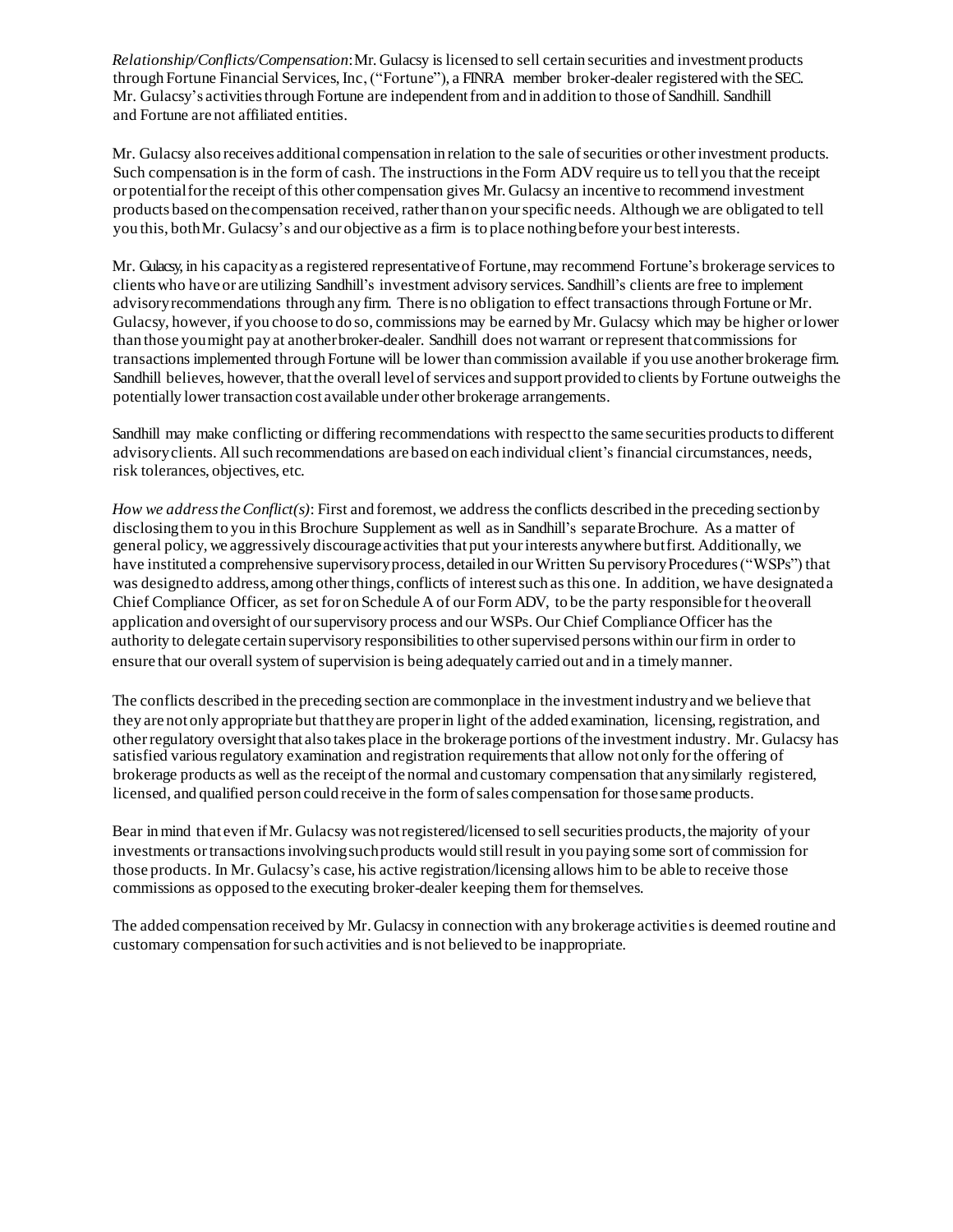*Relationship/Conflicts/Compensation*:Mr. Gulacsy is licensed to sell certain securities and investment products through Fortune Financial Services, Inc, ("Fortune"), a FINRA member broker-dealer registered with the SEC. Mr. Gulacsy's activities through Fortune are independent from and in addition to those of Sandhill. Sandhill and Fortune are not affiliated entities.

Mr. Gulacsy also receives additional compensation in relation to the sale ofsecurities or otherinvestment products. Such compensation is in the form of cash. The instructions in the Form ADV require us to tell you thatthe receipt or potentialforthe receipt ofthis other compensation gives Mr. Gulacsy an incentive to recommend investment products based on thecompensation received, ratherthanon yourspecific needs. Although we are obligated to tell you this, bothMr. Gulacsy's and our objective as a firm is to place nothingbefore your bestinterests.

Mr. Gulacsy, in his capacityas a registered representativeof Fortune,may recommend Fortune's brokerage services to clients who have or are utilizing Sandhill's investment advisory services. Sandhill's clients are free to implement advisoryrecommendations through any firm. There is no obligation to effect transactions through Fortune orMr. Gulacsy, however, if you choose to do so, commissions may be earned by Mr. Gulacsy which may be higher orlower than those youmight pay at anotherbroker-dealer. Sandhill does notwarrant orrepresent thatcommissions for transactions implemented through Fortune will be lower than commission available if you use another brokerage firm. Sandhill believes, however, thatthe overall level of services and support provided to clients by Fortune outweighs the potentially lower transaction cost available under other brokerage arrangements.

Sandhill may make conflicting or differing recommendations with respect to the same securities products to different advisoryclients. Allsuch recommendations are based on each individual client's financial circumstances, needs, risk tolerances, objectives, etc.

*How we addresstheConflict(s)*: First and foremost, we address the conflicts described in the preceding sectionby disclosing them to you in this Brochure Supplement as well as in Sandhill's separate Brochure. As a matter of general policy, we aggressively discourageactivities that put yourinterests anywhere butfirst. Additionally, we have instituted a comprehensive supervisory process, detailed in our Written Su pervisory Procedures ("WSPs") that was designedto address,among otherthings,conflicts of interestsuch as this one. In addition, we have designateda Chief Compliance Officer, as set for on Schedule A of our Form ADV, to be the party responsible for the overall application and oversight of oursupervisory process and our WSPs. Our Chief Compliance Officer has the authority to delegate certain supervisory responsibilities to othersupervised persons within ourfirm in order to ensure that our overall system of supervision is being adequately carried out and in a timelymanner.

The conflicts described in the preceding section are commonplace in the investment industryand we believe that they are not only appropriate but thattheyare properin light ofthe added examination, licensing, registration, and otherregulatory oversightthat also takes place in the brokerage portions ofthe investment industry. Mr. Gulacsy has satisfied various regulatory examination and registration requirements that allow not only for the offering of brokerage products as well as the receipt of the normal and customary compensation that anysimilarly registered, licensed, and qualified person could receive in the form ofsales compensation for thosesame products.

Bear in mind that even if Mr. Gulacsy was not registered/licensed to sell securities products, the majority of your investments ortransactionsinvolvingsuchproducts would stillresult in you paying some sort of commission for those products. In Mr. Gulacsy's case, his active registration/licensing allows him to be able to receive those commissions as opposed to the executing broker-dealer keeping them forthemselves.

The added compensation received by Mr. Gulacsy in connection with any brokerage activities is deemed routine and customary compensation forsuch activities and is not believed to be inappropriate.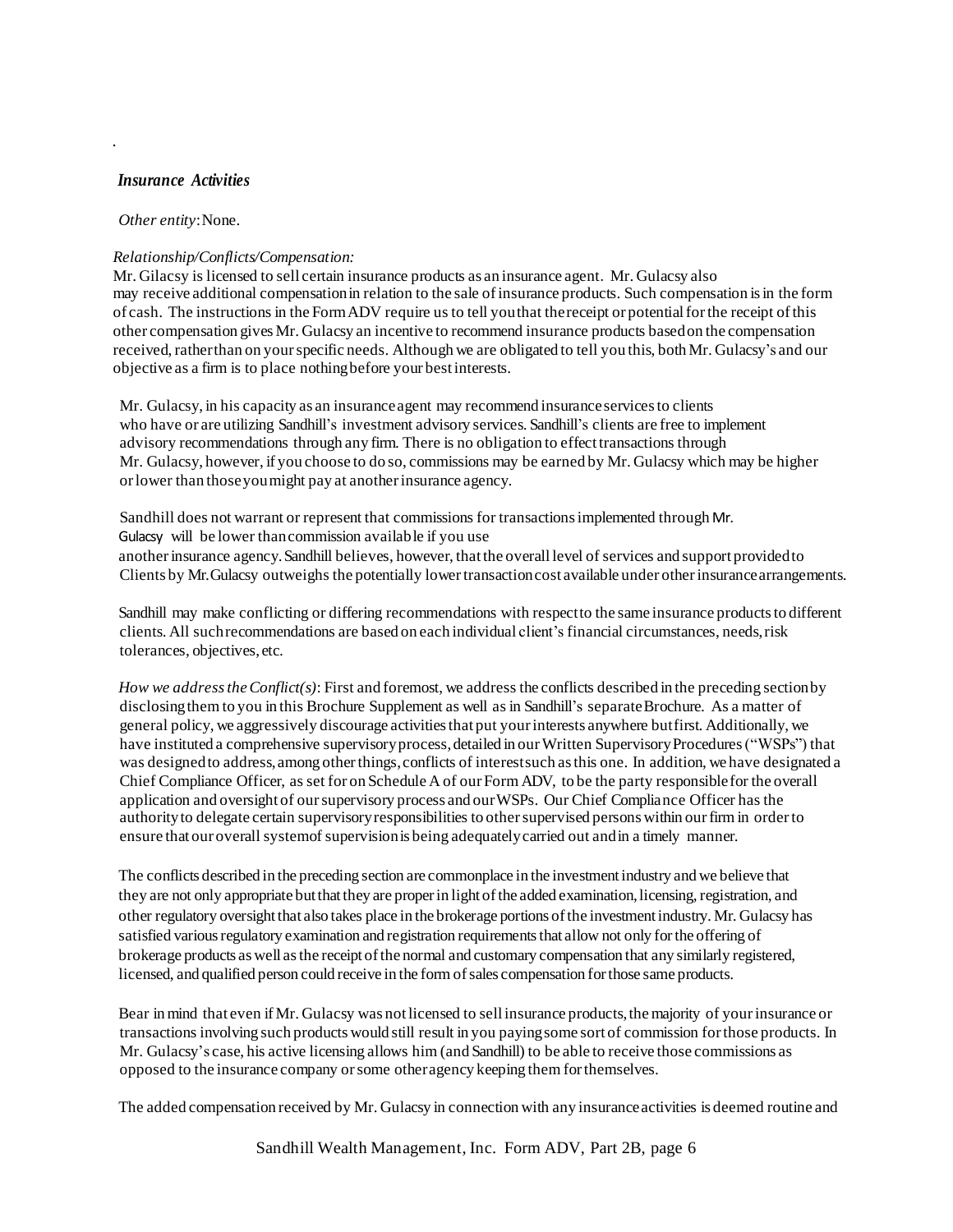#### *Insurance Activities*

.

#### *Other entity*:None.

#### *Relationship/Conflicts/Compensation:*

Mr. Gilacsy is licensed to sell certain insurance products as an insurance agent. Mr. Gulacsy also may receive additional compensationin relation to the sale ofinsurance products. Such compensation isin the form of cash. The instructions in the FormADV require us to tell youthat thereceipt or potentialforthe receipt ofthis other compensation givesMr. Gulacsy an incentive to recommend insurance products basedon the compensation received, ratherthan on yourspecific needs. Although we are obligated to tell you this, both Mr. Gulacsy's and our objective as a firm is to place nothingbefore your best interests.

Mr. Gulacsy, in his capacity as an insuranceagent may recommend insuranceservicesto clients who have or are utilizing Sandhill's investment advisory services. Sandhill's clients are free to implement advisory recommendations through any firm. There is no obligation to effecttransactions through Mr. Gulacsy, however, if you choose to do so, commissions may be earned by Mr. Gulacsy which may be higher orlower than thoseyoumight pay at anotherinsurance agency.

Sandhill does not warrant or represent that commissions for transactionsimplemented through Mr. Gulacsy will be lower thancommission available if you use anotherinsurance agency.Sandhill believes, however, thatthe overall level of services and support providedto Clients by Mr. Gulacsy outweighs the potentially lower transaction cost available under other insurance arrangements.

Sandhill may make conflicting or differing recommendations with respect to the same insurance products to different clients. All such recommendations are based on each individual client's financial circumstances, needs, risk tolerances, objectives, etc.

*How we addresstheConflict(s)*: First and foremost, we address the conflicts described in the preceding sectionby disclosing them to you in this Brochure Supplement as well as in Sandhill's separate Brochure. As a matter of general policy, we aggressively discourage activitiesthat put yourinterests anywhere butfirst. Additionally, we have instituted a comprehensive supervisory process, detailed in our Written Supervisory Procedures ("WSPs") that was designed to address, among other things, conflicts of interest such as this one. In addition, we have designated a Chief Compliance Officer, as set for on Schedule A of our Form ADV, to be the party responsible for the overall application and oversight of oursupervisory process and ourWSPs. Our Chief Compliance Officer has the authorityto delegate certain supervisoryresponsibilities to othersupervised persons within ourfirm in orderto ensure that our overall systemof supervisionis being adequatelycarried out andin a timely manner.

The conflicts described in the preceding section are commonplace in the investmentindustry and we believe that they are not only appropriate but that they are proper in light of the added examination, licensing, registration, and other regulatory oversightthat also takes place in the brokerage portions ofthe investmentindustry. Mr. Gulacsy has satisfied various regulatory examination and registration requirements that allow not only for the offering of brokerage products as well as the receipt of the normal and customary compensation that any similarly registered, licensed, and qualified person could receive in the form ofsales compensation forthose same products.

Bear inmind that even ifMr. Gulacsy was notlicensed to sellinsurance products,themajority of yourinsurance or transactions involving such products would still result in you payingsome sort of commission forthose products. In Mr. Gulacsy's case, his active licensing allows him (and Sandhill) to be able to receive those commissions as opposed to the insurance company orsome otheragency keeping them forthemselves.

The added compensation received by Mr. Gulacsy in connection with any insuranceactivities is deemed routine and

Sandhill Wealth Management, Inc. Form ADV, Part 2B, page 6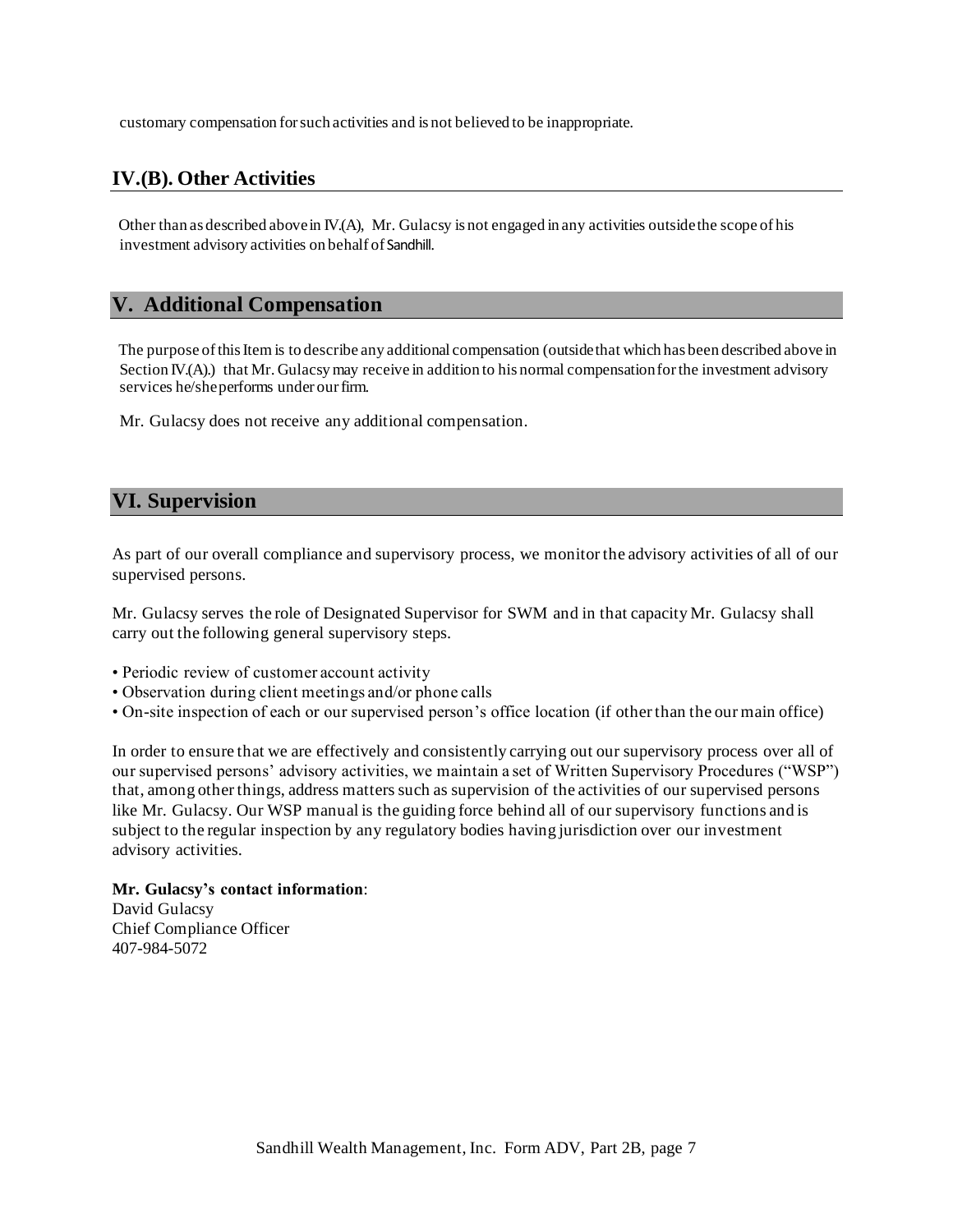customary compensation forsuch activities and is not believed to be inappropriate.

## <span id="page-6-0"></span>**IV.(B). Other Activities**

<span id="page-6-1"></span>Other than as described abovein IV.(A), Mr. Gulacsy is not engaged in any activities outsidethe scope of his investment advisory activities on behalf of Sandhill.

#### **V. Additional Compensation**

The purpose ofthisItem is to describe any additional compensation (outsidethat which has been described above in Section IV.(A).) that Mr. Gulacsy may receive in addition to his normal compensation for the investment advisory services he/sheperforms under our firm.

<span id="page-6-2"></span>Mr. Gulacsy does not receive any additional compensation.

#### **VI. Supervision**

As part of our overall compliance and supervisory process, we monitor the advisory activities of all of our supervised persons.

Mr. Gulacsy serves the role of Designated Supervisor for SWM and in that capacity Mr. Gulacsy shall carry out the following general supervisory steps.

- Periodic review of customer account activity
- Observation during client meetings and/or phone calls
- On-site inspection of each or our supervised person's office location (if other than the our main office)

In order to ensure that we are effectively and consistently carrying out our supervisory process over all of our supervised persons' advisory activities, we maintain a set of Written Supervisory Procedures ("WSP") that, among other things, address matters such as supervision of the activities of our supervised persons like Mr. Gulacsy. Our WSP manual is the guiding force behind all of our supervisory functions and is subject to the regular inspection by any regulatory bodies having jurisdiction over our investment advisory activities.

#### **Mr. Gulacsy's contact information**:

David Gulacsy Chief Compliance Officer 407-984-5072